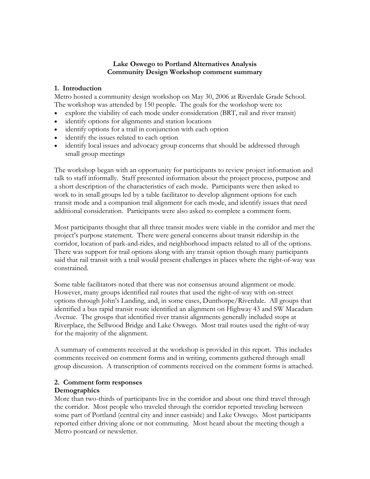### **Lake Oswego to Portland Alternatives Analysis Community Design Workshop comment summary**

### **1. Introduction**

Metro hosted a community design workshop on May 30, 2006 at Riverdale Grade School. The workshop was attended by 150 people. The goals for the workshop were to:

- explore the viability of each mode under consideration (BRT, rail and river transit)
- identify options for alignments and station locations
- identify options for a trail in conjunction with each option
- identify the issues related to each option
- identify local issues and advocacy group concerns that should be addressed through small group meetings

The workshop began with an opportunity for participants to review project information and talk to staff informally. Staff presented information about the project process, purpose and a short description of the characteristics of each mode. Participants were then asked to work to in small groups led by a table facilitator to develop alignment options for each transit mode and a companion trail alignment for each mode, and identify issues that need additional consideration. Participants were also asked to complete a comment form.

Most participants thought that all three transit modes were viable in the corridor and met the project's purpose statement. There were general concerns about transit ridership in the corridor, location of park-and-rides, and neighborhood impacts related to all of the options. There was support for trail options along with any transit option though many participants said that rail transit with a trail would present challenges in places where the right-of-way was constrained.

Some table facilitators noted that there was not consensus around alignment or mode. However, many groups identified rail routes that used the right-of-way with on-street options through John's Landing, and, in some cases, Dunthorpe/Riverdale. All groups that identified a bus rapid transit route identified an alignment on Highway 43 and SW Macadam Avenue. The groups that identified river transit alignments generally included stops at Riverplace, the Sellwood Bridge and Lake Oswego. Most trail routes used the right-of-way for the majority of the alignment.

A summary of comments received at the workshop is provided in this report. This includes comments received on comment forms and in writing, comments gathered through small group discussion. A transcription of comments received on the comment forms is attached.

# **2. Comment form responses**

### **Demographics**

More than two-thirds of participants live in the corridor and about one third travel through the corridor. Most people who traveled through the corridor reported traveling between some part of Portland (central city and inner eastside) and Lake Oswego. Most participants reported either driving alone or not commuting. Most heard about the meeting though a Metro postcard or newsletter.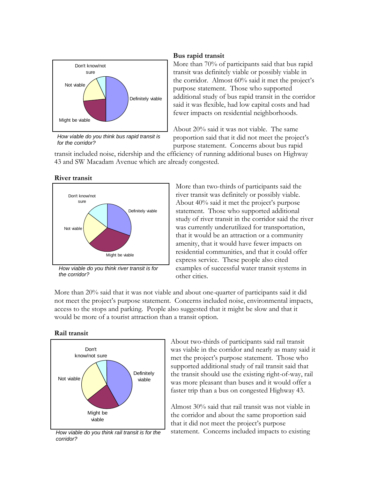

*How viable do you think bus rapid transit is for the corridor?*

#### **Bus rapid transit**

More than 70% of participants said that bus rapid transit was definitely viable or possibly viable in the corridor. Almost 60% said it met the project's purpose statement. Those who supported additional study of bus rapid transit in the corridor said it was flexible, had low capital costs and had fewer impacts on residential neighborhoods.

About 20% said it was not viable. The same proportion said that it did not meet the project's purpose statement. Concerns about bus rapid

transit included noise, ridership and the efficiency of running additional buses on Highway 43 and SW Macadam Avenue which are already congested.

#### **River transit**



*the corridor?*

More than two-thirds of participants said the river transit was definitely or possibly viable. About 40% said it met the project's purpose statement. Those who supported additional study of river transit in the corridor said the river was currently underutilized for transportation, that it would be an attraction or a community amenity, that it would have fewer impacts on residential communities, and that it could offer express service. These people also cited examples of successful water transit systems in other cities.

More than 20% said that it was not viable and about one-quarter of participants said it did not meet the project's purpose statement. Concerns included noise, environmental impacts, access to the stops and parking. People also suggested that it might be slow and that it would be more of a tourist attraction than a transit option.





*corridor?*

About two-thirds of participants said rail transit was viable in the corridor and nearly as many said it met the project's purpose statement. Those who supported additional study of rail transit said that the transit should use the existing right-of-way, rail was more pleasant than buses and it would offer a faster trip than a bus on congested Highway 43.

Almost 30% said that rail transit was not viable in the corridor and about the same proportion said that it did not meet the project's purpose *How viable do you think rail transit is for the* statement. Concerns included impacts to existing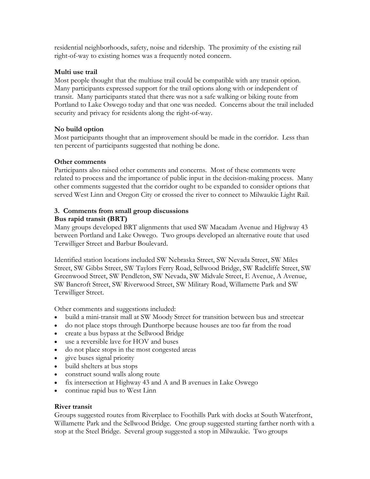residential neighborhoods, safety, noise and ridership. The proximity of the existing rail right-of-way to existing homes was a frequently noted concern.

### **Multi use trail**

Most people thought that the multiuse trail could be compatible with any transit option. Many participants expressed support for the trail options along with or independent of transit. Many participants stated that ther e was not a safe walking or biking route from Portland to Lake Oswego today and that one was needed. Concerns about the trail included security and privacy for residents along th e right-of-way.

## **No build option**

Most participants thought that an improve ment should be made in the corridor. Less than ten percent of participants suggested that nothing be done.

## **Other comments**

Participants also raised other comments and concerns. Most of these comments were related to process and the importance of public input in the decision-making process. Many other comments suggested that the corridor ought to be expanded to consider options that served West Linn and Oregon City or crossed the river to connect to Milwaukie Light Rail.

## **3. Comments from small group discuss ions**

### **Bus rapid transit (BRT)**

Many groups developed BRT alignments th at used SW Macadam Avenue and Highway 43 between Portland and Lake Oswego. Two groups developed an alternative route that used Terwilliger Street and Barbur Boulevard.

Identified station locations included SW Nebraska Street, SW Nevada Street, SW Miles Street, SW Gibbs Street, SW Taylors Ferry Road, Sellwood Bridge, SW Radcliffe Street, SW Greenwood Street, SW Pendleton, SW Nevada, SW Midvale Street, E Avenue, A Avenue, SW Bancroft Street, SW Riverwood Street, SW Military Road, Willamette Park and SW Terwilliger Street.

Other comments and suggestions included:

- build a mini-transit mall at SW Moody Street for transition between bus and streetcar
- do not place stops through Dunthorpe because houses are too far from the road
- create a bus bypass at the Sellwood Bridge
- use a reversible lave for HOV and bu ses
- do not place stops in the most conges ted areas
- give buses signal priority
- build shelters at bus stops
- construct sound walls along route
- fix intersection at Highway 43 and A and B avenues in Lake Oswego
- continue rapid bus to West Linn

### **River transit**

Groups suggested routes from Riverplace to Foothills Park with docks at South Waterfront, Willamette Park and the Sellwood Bridge. One group suggested starting farther north with a stop at the Steel Bridge. Several group su ggested a stop in Milwaukie. Two groups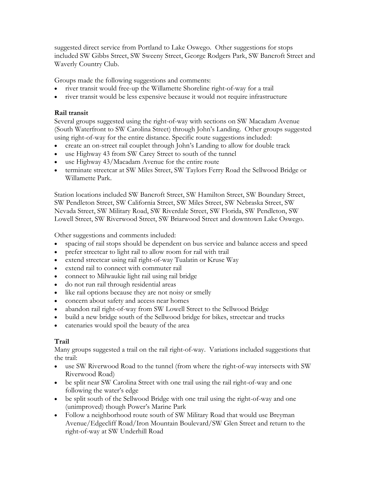suggested direct service from Portland to Lake Oswego. Other suggestions for stops included SW Gibbs Street, SW Sweeny Street, George Rodgers Park, SW Bancroft Street and Waverly Country Club.

Groups made the following suggestions and comments:

- river transit would free-up the Willamette Shoreline right-of-way for a trail
- river transit would be less expensive because it would not require infrastructure

### **Rail transit**

Several groups suggested using the right-of-way with sections on SW Macadam Avenue (South Waterfront to SW Carolina Street) through John's Landing. Other groups suggested using right-of-way for the entire distance. Specific route suggestions included:

- create an on-street rail couplet through John's Landing to allow for double track
- use Highway 43 from SW Carey Street to south of the tunnel
- use Highway 43/Macadam Avenue for the entire route
- terminate streetcar at SW Miles Street, SW Taylors Ferry Road the Sellwood Bridge or Willamette Park.

W Pendleton Street, SW California Street, SW Miles Street, SW Nebraska Street, SW S Nevada Street, SW Military Road, SW Riverdale Street, SW Florida, SW Pendleton, SW Lowell Street, SW Riverwood Street, SW Briarwood Street and downtown Lake Oswego. Station locations included SW Bancroft Street, SW Hamilton Street, SW Boundary Street,

Other suggestions and comments included:

- spacing of rail stops should be dependent on bus service and balance access and speed
- prefer streetcar to light rail to allow room for rail with trail •
- extend streetcar using rail right-of-way Tualatin or Kruse Way
- extend rail to connect with commuter rail
- connect to Milwaukie light rail using rail bridge
- do not run rail through residential areas
- like rail options because they are not noisy or smelly
- concern about safety and access near homes
- abandon rail right-of-way from SW Lowell Street to the Sellwood Bridge
- build a new bridge south of the Sellwood bridge for bikes, streetcar and trucks
- catenaries would spoil the beauty of the area

## **Trail**

Many groups suggested a trail on the rail right-of-way. Variations included suggestions that the trail:

- use SW Riverwood Road to the tunnel (from where the right-of-way intersects with SW Riverwood Road)
- be split near SW Carolina Street with one trail using the rail right-of-way and one following the water's edge
- be split south of the Sellwood Bridge with one trail using the right-of-way and one (unimproved) though Power's Marine Park
- Follow a neighborhood route south of SW Military Road that would use Breyman Avenue/Edgecliff Road/Iron Mountain Boulevard/SW Glen Street and return to the right-of-way at SW Underhill Road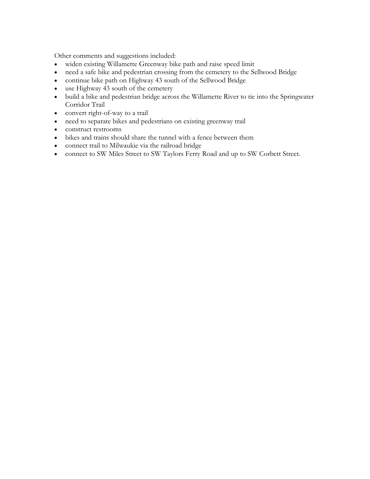Other comments and suggestions included:

- widen existing Willamette Greenway bike path and raise speed limit
- need a safe bike and pedestrian crossing from the cemetery to the Sellwood Bridge
- continue bike path on Highway 43 south of the Sellwood Bridge
- use Highway 43 south of the cemetery
- build a bike and pedestrian bridge across the Willamette River to tie into the Springwater Corridor Trail
- convert right-of-way to a trail
- need to separate bikes and pedestrians on existing greenway trail
- construct restrooms
- bikes and trains should share the tunnel with a fence between them
- connect trail to Milwaukie via the railroad bridge
- connect to SW Miles Street to SW Taylors Ferry Road and up to SW Corbett Street.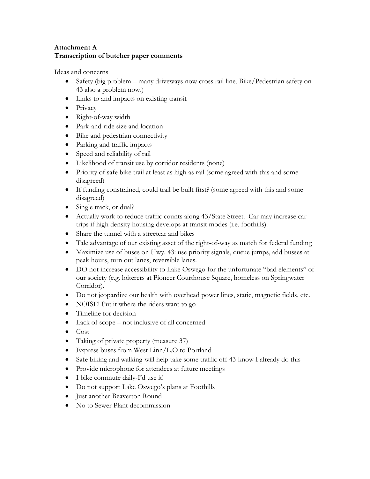## **Attachment A Transcription of butcher paper comments**

Ide as and concerns

- Safety (big problem many driveways now cross rail line. Bike/Pedestrian safety on 43 also a problem now.)
- Links to and impacts on existing transit
- Privacy
- Right-of-way width
- Park-and-ride size and location
- Bike and pedestrian connectivity
- Parking and traffic impacts
- Speed and reliability of rail
- Likelihood of transit use by corridor residents (none)
- Priority of safe bike trail at least as high as rail (some agreed with this and some disagreed)
- If funding constrained, could trail be built first? (some agreed with this and some disagreed)
- Single track, or dual?
- Actually work to reduce traffic counts along 43/State Street. Car may increase car trips if high density housing develops at transit modes (i.e. foothills).
- Share the tunnel with a streetcar and bikes
- Tale advantage of our existing asset of the right-of-way as match for federal funding
- Maximize use of buses on Hwy. 43: use priority signals, queue jumps, add busses at peak hours, turn out lanes, reversible lanes.
- DO not increase accessibility to Lake Oswego for the unfortunate "bad elements" of our society (e.g. loiterers at Pioneer Courthouse Square, homeless on Springwater Corridor).
- Do not jeopardize our health with overhead power lines, static, magnetic fields, etc.
- NOISE! Put it where the riders want to go
- Timeline for decision
- Lack of scope not inclusive of all concerned
- Cost
- Taking of private property (measure 37)
- Express buses from West Linn/L.O to Portland
- Safe biking and walking-will help take some traffic off 43-know I already do this
- Provide microphone for attendees at future meetings
- I bike commute daily-I'd use it!
- Do not support Lake Oswego's plans at Foothills
- Just another Beaverton Round
- No to Sewer Plant decommission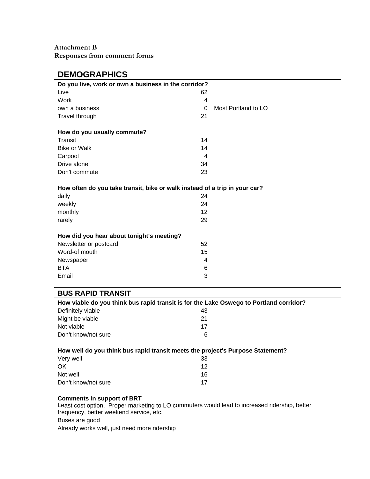| <b>DEMOGRAPHICS</b>                                                        |                                 |
|----------------------------------------------------------------------------|---------------------------------|
| Do you live, work or own a business in the corridor?                       |                                 |
| Live                                                                       | 62                              |
| Work                                                                       | 4                               |
| own a business                                                             | Most Portland to LO<br>$\Omega$ |
| Travel through                                                             | 21                              |
| How do you usually commute?                                                |                                 |
| Transit                                                                    | 14                              |
| <b>Bike or Walk</b>                                                        | 14                              |
| Carpool                                                                    | 4                               |
| Drive alone                                                                | 34                              |
| Don't commute                                                              | 23                              |
| How often do you take transit, bike or walk instead of a trip in your car? |                                 |
| daily                                                                      | 24                              |
| weekly                                                                     | 24                              |
| monthly                                                                    | 12                              |
| rarely                                                                     | 29                              |
| How did you hear about tonight's meeting?                                  |                                 |
| Newsletter or postcard                                                     | 52                              |
| Word-of mouth                                                              | 15                              |
| Newspaper                                                                  | 4                               |
| <b>BTA</b>                                                                 | 6                               |
| Email                                                                      | 3                               |
|                                                                            |                                 |

### **BUS RAPID TRANSIT**

| How viable do you think bus rapid transit is for the Lake Oswego to Portland corridor? |    |  |  |
|----------------------------------------------------------------------------------------|----|--|--|
| Definitely viable                                                                      | 43 |  |  |
| Might be viable                                                                        | 21 |  |  |
| Not viable                                                                             | 17 |  |  |
| Don't know/not sure                                                                    | 6  |  |  |

#### How well do you think bus rapid transit meets the project's Purpose Statement?

| Very well           | 33 |
|---------------------|----|
| OK.                 | 12 |
| Not well            | 16 |
| Don't know/not sure | 17 |

#### **Co mments in support of BRT**

Least cost option. Proper marketing to LO commuters would lead to increased ridership, better frequency, better weekend service, etc. Buses are good Already works well, just need more ridership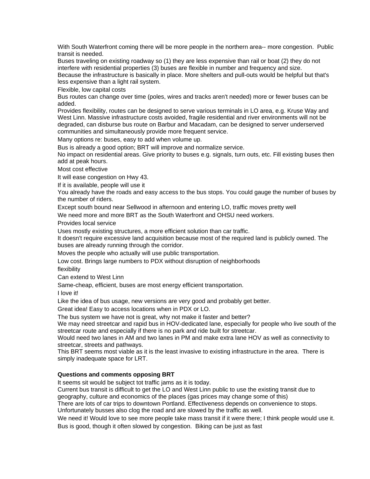With South Waterfront coming there will be more people in the northern area-- more congestion. Public transit is needed.

Buses traveling on existing roadway so (1) they are less expensive than rail or boat (2) they do not interfere with residential properties (3) buses are flexible in number and frequency and size. Because the infrastructure is basically in place. More shelters and pull-outs would be helpful but that's less expensive than a light rail system.

Flexible, low capital costs

Bus routes can change over time (poles, wires and tracks aren't needed) more or fewer buses can be added .

Provides flexibility, routes can be designed to serve various terminals in LO area, e.g. Kruse Way and West Linn. Massive infrastructure costs avoided, fragile residential and river environments will not be degraded, can disburse bus route on Barbur and Macadam, can be designed to server underserved communities and simultaneously provide more frequent service.

Many options re: buses, easy to add when volume up.

Bus is already a good option; BRT will improve and normalize service.

No impact on residential areas. Give priority to buses e.g. signals, turn outs, etc. Fill existing buses then add at peak hours.

Most cost effective

It will ease congestion on Hwy 43.

If it is available, people will use it

You already have the roads and easy access to the bus stops. You could gauge the number of buses by the number of riders.

Except south bound near Sellwood in afternoon and entering LO, traffic moves pretty well

We need more and more BRT as the South Waterfront and OHSU need workers.

Provides local service

Uses mostly existing structures, a more efficient solution than car traffic.

It doesn't require excessive land acquisition because most of the required land is publicly owned. The buses are already running through the corridor.

Moves the people who actually will use public transportation.

Low cost. Brings large numbers to PDX without disruption of neighborhoods flexibility

Can extend to West Linn

Same-cheap, efficient, buses are most energy efficient transportation.

I love it!

Like the idea of bus usage, new versions are very good and probably get better.

Great idea! Easy to access locations when in PDX or LO.

The bus system we have not is great, why not make it faster and better?

We may need streetcar and rapid bus in HOV-dedicated lane, especially for people who live south of the streetcar route and especially if there is no park and ride built for streetcar.

Would need two lanes in AM and two lanes in PM and make extra lane HOV as well as connectivity to streetcar, streets and pathways.

This BRT seems most viable as it is the least invasive to existing infrastructure in the area. There is simply inadequate space for LRT.

#### **s and comments opposing BRT Question**

It seems sit would be subject tot traffic jams as it is today.

Current bus transit is difficult to get the LO and West Linn public to use the existing transit due to geography, culture and economics of the places (gas prices may change some of this)

. There are lots of car trips to downtown Portland. Effectiveness depends on convenience to stops

Unfortunately busses also clog the road and are slowed by the traffic as well.

We need it! Would love to see more people take mass transit if it were there; I think people would use it. Bus is good, though it often slowed by congestion. Biking can be just as fast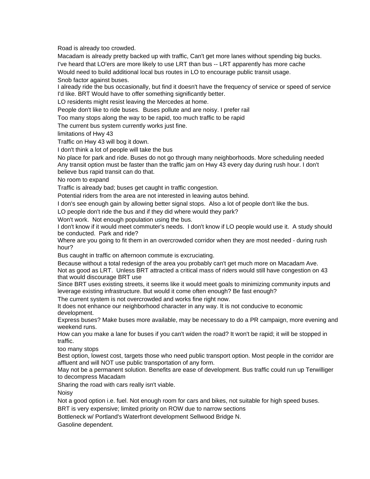Road is already too crowded.

Macadam is already pretty backed up with traffic, Can't get more lanes without spending big bucks. I've heard that LO'ers are more likely to use LRT than bus -- LRT apparently has more cache

Would need to build additional local bus routes in LO to encourage public transit usage.

Snob factor against buses.

I already ride the bus occasionally, but find it doesn't have the frequency of service or speed of service I'd like. BRT Would have to offer something significantly better.

LO residents might resist leaving the Mercedes at home.

People don't like to ride buses. Buses pollute and are noisy. I prefer rail

Too many stops along the way to be rapid, too much traffic to be rapid

The current bus system currently works just fine.

limitations of Hwy 43

Traffic on Hwy 43 will bog it down.

I don't think a lot of people will take the bus

Any transit option must be faster than the traffic jam on Hwy 43 every day during rush hour. I don't believe bus rapid transit can do that. No place for park and ride. Buses do not go through many neighborhoods. More scheduling needed

No room to expand

Traffic is already bad; buses get caught in traffic congestion.

Potential riders from the area are not interested in leaving autos behind.

I don's see enough gain by allowing better signal stops. Also a lot of people don't like the bus.

LO people don't ride the bus and if they did where would they park?

Won't work. Not enough population using the bus.

I don't know if it would meet commuter's needs. I don't know if LO people would use it. A study should be conducted. Park and ride?

Where are you going to fit them in an overcrowded corridor when they are most needed - during rush hour?

Bus caught in traffic on afternoon commute is excruciating.

Because without a total redesign of the area you probably can't get much more on Macadam Ave. Not as good as LRT. Unless BRT attracted a critical mass of riders would still have congestion on 43 that would discourage BRT use

Since BRT uses existing streets, it seems like it would meet goals to minimizing community inputs and leverage existing infrastructure. But would it come often enough? Be fast enough?

The current system is not overcrowded and works fine right now.

It does not enhance our neighborhood character in any way. It is not conducive to economic development.

Express buses? Make buses more available, may be necessary to do a PR campaign, more evening and weekend runs.

How can you make a lane for buses if you can't widen the road? It won't be rapid; it will be stopped in traffic.

too many stops

Best option, lowest cost, targets those who need public transport option. Most people in the corridor are affluent and will NOT use public transportation of any form.

May not be a permanent solution. Benefits are ease of development. Bus traffic could run up Terwilliger to decompress Macadam

Sharing the road with cars really isn't viable.

Noisy

Not a good option i.e. fuel. Not enough room for cars and bikes, not suitable for high speed buses. BRT is very expensive; limited priority on ROW due to narrow sections

Bottleneck w/ Portland's Waterfront development Sellwood Bridge N.

Gasoline dependent.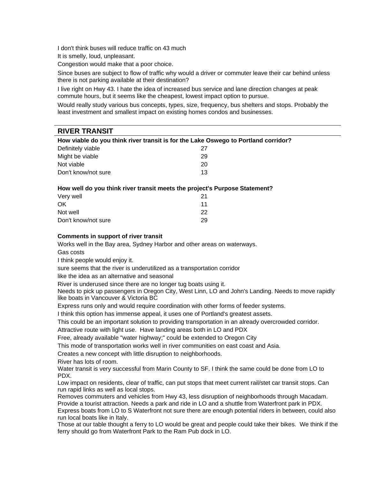I don't think buses will reduce traffic on 43 much

It is smelly, loud, unpleasant.

Congestion would make that a poor choice.

Since buses are subject to flow of traffic why would a driver or commuter leave their car behind unless there is not parking available at their destination?

commute hours, but it seems like the cheapest, lowest impact option to pursue. I live right on Hwy 43. I hate the idea of increased bus service and lane direction changes at peak

Would really study various bus concepts, types, size, frequency, bus shelters and stops. Probably the least investment and smallest impact on existing homes condos and businesses.

### **RIVER TRANSIT**

| How viable do you think river transit is for the Lake Oswego to Portland corridor? |                     |    |  |
|------------------------------------------------------------------------------------|---------------------|----|--|
|                                                                                    | Definitely viable   | 27 |  |
|                                                                                    | Might be viable     | 29 |  |
|                                                                                    | Not viable          | 20 |  |
|                                                                                    | Don't know/not sure | 13 |  |

#### How well do you think river transit meets the project's Purpose Statement?

| Very well           | 21 |
|---------------------|----|
| OK                  | 11 |
| Not well            | 22 |
| Don't know/not sure | 29 |

#### **Comments in support of river transit**

Works well in the Bay area, Sydney Harbor and other areas on waterways.

Gas costs

I think people would enjoy it.

sure seems that the river is underutilized as a transportation corridor

like the idea as an alternative and seasonal

River is underused since there are no longer tug boats using it.

Needs to pick up passengers in Oregon City, West Linn, LO and John's Landing. Needs to move rapidly like boats in Vancouver & Victoria BC

Express runs only and would require coordination with other forms of feeder systems.

I think this option has immense appeal, it uses one of Portland's greatest assets.

This could be an important solution to providing transportation in an already overcrowded corridor.

Attractive route with light use. Have landing areas both in LO and PDX

Free, already available "water highway;" could be extended to Oregon City

This mode of transportation works well in river communities on east coast and Asia.

Creates a new concept with little disruption to neighborhoods.

River has lots of room.

Water transit is very successful from Marin County to SF. I think the same could be done from LO to PDX.

Low impact on residents, clear of traffic, can put stops that meet current rail/stet car transit stops. Can run rapid links as well as local stops.

Express boats from LO to S Waterfront not sure there are enough potential riders in between, could also Removes commuters and vehicles from Hwy 43, less disruption of neighborhoods through Macadam. Provide a tourist attraction. Needs a park and ride in LO and a shuttle from Waterfront park in PDX.

run local boats like in Italy.

Those at our table thought a ferry to LO would be great and people could take their bikes. We think if the ferry should go from Waterfront Park to the Ram Pub dock in LO.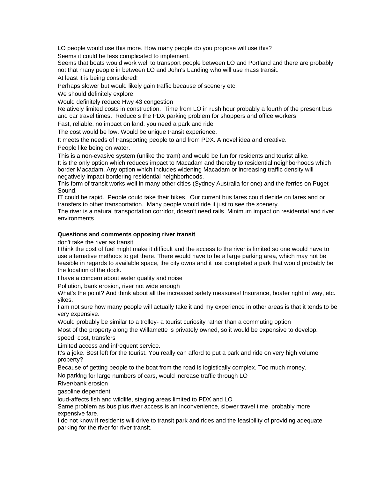LO people would use this more. How many people do you propose will use this? Seems it could be less complicated to implement.

Seems that boats would work well to transport people between LO and Portland and there are probably not that many people in between LO and John's Landing who will use mass transit.

At least it is being considered!

Perhaps slower but would likely gain traffic because of scenery etc.

We should definitely explore.

Would definitely reduce Hwy 43 congestion

and car travel times. Reduce s the PDX parking problem for shoppers and office workers Relatively limited costs in construction. Time from LO in rush hour probably a fourth of the present bus

Fast, reliable, no impact on land, you need a park and ride

The cost would be low. Would be unique transit experience.

It meets the needs of transporting people to and from PDX. A novel idea and creative.

People like being on water.

This is a non-evasive system (unlike the tram) and would be fun for residents and tourist alike. It is the only option which reduces impact to Macadam and thereby to residential neighborhoods which border Macadam. Any option which includes widening Macadam or increasing traffic density will negatively impact bordering residential neighborhoods.

This form of transit works well in many other cities (Sydney Australia for one) and the ferries on Puget Sound.

IT could be rapid. People could take their bikes. Our current bus fares could decide on fares and or transfers to other transportation. Many people would ride it just to see the scenery.

The river is a natural transportation corridor, doesn't need rails. Minimum impact on residential and river environments.

#### **Questions and comments opposing river transit**

don't take the river as transit

I think the cost of fuel might make it difficult and the access to the river is limited so one would have to use alternative methods to get there. There would have to be a large parking area, which may not be feasible in regards to available space, the city owns and it just completed a park that would probably be the location of the dock.

I have a concern about water quality and noise

Pollution, bank erosion, river not wide enough

What's the point? And think about all the increased safety measures! Insurance, boater right of way, etc. yikes.

I am not sure how many people will actually take it and my experience in other areas is that it tends to be very expensive.

Would probably be similar to a trolley- a tourist curiosity rather than a commuting option

Most of the property along the Willamette is privately owned, so it would be expensive to develop. speed, cost, transfers

Limited access and infrequent service.

It's a joke. Best left for the tourist. You really can afford to put a park and ride on very high volume property?

Because of getting people to the boat from the road is logistically complex. Too much money.

No parking for large numbers of cars, would increase traffic through LO

River/bank erosion

gasoline dependent

loud-affects fish and wildlife, staging areas limited to PDX and LO

Same problem as bus plus river access is an inconvenience, slower travel time, probably more expensive fare.

I do not know if residents will drive to transit park and rides and the feasibility of providing adequate parking for the river for river transit.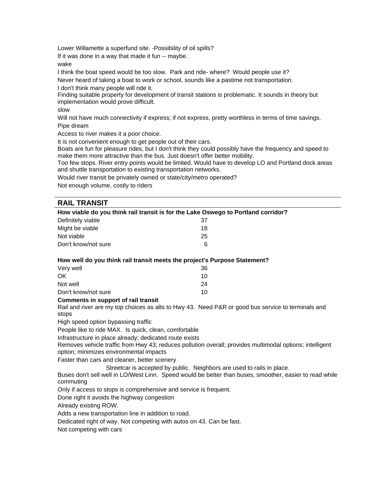Lower Willamette a superfund site. -Possibility of oil spills?

If it was done in a way that made it fun -- maybe.

#### wake

I think the boat speed would be too slow. Park and ride- where? Would people use it?

Never heard of taking a boat to work or school, sounds like a pastime not transportation.

I don't think many people will ride it.

Finding suitable property for development of transit stations is problematic. It sounds in theory but implementation would prove difficult.

slow

Will not have much connectivity if express; if not express, pretty worthless in terms of time savings. Pipe dream

Access to river makes it a poor choice.

It is not convenient enough to get people out of their cars.

Boats are fun for pleasure rides, but I don't think they could possibly have the frequency and speed to make them more attractive than the bus. Just doesn't offer better mobility.

Too few stops. River entry points would be limited. Would have to develop LO and Portland dock areas and shuttle transportation to existing transportation networks.

Would river transit be privately owned or state/city/metro operated?

Not enough volume, costly to riders

### **RAIL TRANSIT**

| How viable do you think rail transit is for the Lake Oswego to Portland corridor?                                                                                                                              |    |  |  |
|----------------------------------------------------------------------------------------------------------------------------------------------------------------------------------------------------------------|----|--|--|
| Definitely viable                                                                                                                                                                                              | 37 |  |  |
| Might be viable                                                                                                                                                                                                | 18 |  |  |
| Not viable                                                                                                                                                                                                     | 25 |  |  |
| Don't know/not sure                                                                                                                                                                                            | 6  |  |  |
| How well do you think rail transit meets the project's Purpose Statement?                                                                                                                                      |    |  |  |
| Very well                                                                                                                                                                                                      | 36 |  |  |
| OK.                                                                                                                                                                                                            | 10 |  |  |
| Not well                                                                                                                                                                                                       | 24 |  |  |
| Don't know/not sure                                                                                                                                                                                            | 10 |  |  |
| <b>Comments in support of rail transit</b>                                                                                                                                                                     |    |  |  |
| Rail and river are my top choices as alts to Hwy 43. Need P&R or good bus service to terminals and                                                                                                             |    |  |  |
| stops                                                                                                                                                                                                          |    |  |  |
| High speed option bypassing traffic                                                                                                                                                                            |    |  |  |
| People like to ride MAX. Is quick, clean, comfortable                                                                                                                                                          |    |  |  |
| Infrastructure in place already; dedicated route exists<br>Removes vehicle traffic from Hwy 43; reduces pollution overall; provides multimodal options; intelligent<br>option; minimizes environmental impacts |    |  |  |
| Faster than cars and cleaner, better scenery                                                                                                                                                                   |    |  |  |
| Streetcar is accepted by public. Neighbors are used to rails in place.<br>Buses don't sell well in LO/West Linn. Speed would be better than buses, smoother, easier to read while<br>commuting                 |    |  |  |
| Only if access to stops is comprehensive and service is frequent.                                                                                                                                              |    |  |  |
| Done right it avoids the highway congestion                                                                                                                                                                    |    |  |  |
| Already existing ROW.                                                                                                                                                                                          |    |  |  |
| Adds a new transportation line in addition to road.                                                                                                                                                            |    |  |  |

Dedicated right of way. Not competing with autos on 43. Can be fast.

Not competing with cars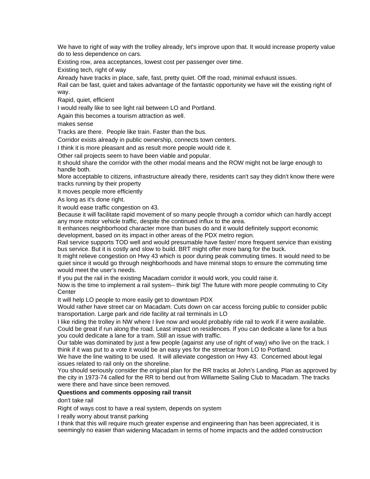We have to right of way with the trolley already, let's improve upon that. It would increase property value do to less dependence on cars.

Existing row, area acceptances, lowest cost per passenger over time.

Existing tech, right of way

Already have tracks in place, safe, fast, pretty quiet. Off the road, minimal exhaust issues.

Rail can be fast, quiet and takes advantage of the fantastic opportunity we have wit the existing right of way.

Rapid, quiet, efficient

I would really like to see light rail between LO and Portland.

Again this becomes a tourism attraction as well.

makes sense

Tracks are there. People like train. Faster than the bus.

Corridor exists already in public ownership, connects town centers.

I think it is more pleasant and as result more people would ride it.

Other rail projects seem to have been viable and popular.

It should share the corridor with the other modal means and the ROW might not be large enough to handle both.

More acceptable to citizens, infrastructure already there, residents can't say they didn't know there were tracks running by their property

It moves people more efficiently

As long as it's done right.

It would ease traffic congestion on 43.

Because it will facilitate rapid movement of so many people through a corridor which can hardly accept any more motor vehicle traffic, despite the continued influx to the area.

It enhances neighborhood character more than buses do and it would definitely support economic development, based on its impact in other areas of the PDX metro region.

Rail service supports TOD well and would presumable have faster/ more frequent service than existing bus service. But it is costly and slow to build. BRT might offer more bang for the buck.

It might relieve congestion on Hwy 43 which is poor during peak commuting times. It would need to be quiet since it would go through neighborhoods and have minimal stops to ensure the commuting time would meet the user's needs.

If you put the rail in the existing Macadam corridor it would work, you could raise it.

Now is the time to implement a rail system-- think big! The future with more people commuting to City **Center** 

It will help LO people to more easily get to downtown PDX

transportation. Large park and ride facility at rail terminals in LO Would rather have street car on Macadam. Cuts down on car access forcing public to consider public

I like riding the trolley in NW where I live now and would probably ride rail to work if it were available. Could be great if run along the road. Least impact on residences. If you can dedicate a lane for a bus you could dedicate a lane for a tram. Still an issue with traffic.

Our table was dominated by just a few people (against any use of right of way) who live on the track. I think if it was put to a vote it would be an easy yes for the streetcar from LO to Portland.

We have the line waiting to be used. It will alleviate congestion on Hwy 43. Concerned about legal issues related to rail only on the shoreline.

You should seriously consider the original plan for the RR tracks at John's Landing. Plan as approved by the city in 1973-74 called for the RR to bend out from Willamette Sailing Club to Macadam. The tracks were there and have since been removed.

#### **Questions and comments opposing rail transit**

don't take rail

Right of ways cost to have a real system, depends on system

I really worry about transit parking

I think that this will require much greater expense and engineering than has been appreciated, it is seemingly no easier than widening Macadam in terms of home impacts and the added construction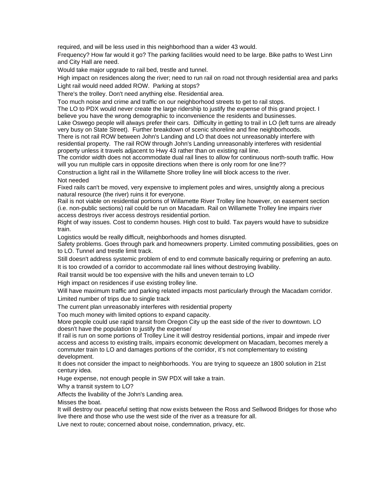required, and will be less used in this neighborhood than a wider 43 would.

Frequency? How far would it go? The parking facilities would need to be large. Bike paths to West Linn and City Hall are need.

Would take major upgrade to rail bed, trestle and tunnel.

High impact on residences along the river; need to run rail on road not through residential area and parks Light rail would need added ROW. Parking at stops?

There's the trolley. Don't need anything else. Residential area.

Too much noise and crime and traffic on our neighborhood streets to get to rail stops.

The LO to PDX would never create the large ridership to justify the expense of this grand project. I believe you have the wrong demographic to inconvenience the residents and businesses.

Lake Oswego people will always prefer their cars. Difficulty in getting to trail in LO (left turns are already very busy on State Street). Further breakdown of scenic shoreline and fine neighborhoods.

There is not rail ROW between John's Landing and LO that does not unreasonably interfere with residential property. The rail ROW through John's Landing unreasonably interferes with residential property unless it travels adjacent to Hwy 43 rather than on existing rail line.

The corridor width does not accommodate dual rail lines to allow for continuous north-south traffic. How will you run multiple cars in opposite directions when there is only room for one line??

Construction a light rail in the Willamette Shore trolley line will block access to the river. Not needed

Fixed rails can't be moved, very expensive to implement poles and wires, unsightly along a precious natural resource (the river) ruins it for everyone.

Rail is not viable on residential portions of Willamette River Trolley line however, on easement section (i.e. non-public sections) rail could be run on Macadam. Rail on Willamette Trolley line impairs river access destroys river access destroys residential portion.

Right of way issues. Cost to condemn houses. High cost to build. Tax payers would have to subsidize train.

Logistics would be really difficult, neighborhoods and homes disrupted.

Safety problems. Goes through park and homeowners property. Limited commuting possibilities, goes on to LO. Tunnel and trestle limit track.

Still doesn't address systemic problem of end to end commute basically requiring or preferring an auto. It is too crowded of a corridor to accommodate rail lines without destroying livability.

Rail transit would be too expensive with the hills and uneven terrain to LO

High impact on residences if use existing trolley line.

Will have maximum traffic and parking related impacts most particularly through the Macadam corridor. Limited number of trips due to single track

The current plan unreasonably interferes with residential property

Too much money with limited options to expand capacity.

More people could use rapid transit from Oregon City up the east side of the river to downtown. LO doesn't have the population to justify the expense/

If rail is run on some portions of Trolley Line it will destroy residential portions, impair and impede river commuter train to LO and damages portions of the corridor, it's not complementary to existing access and access to existing trails, impairs economic development on Macadam, becomes merely a development.

It does not consider the impact to neighborhoods. You are trying to squeeze an 1800 solution in 21st century idea.

Huge expense, not enough people in SW PDX will take a train.

Why a transit system to LO?

Affects the livability of the John's Landing area.

Misses the boat.

It will destroy our peaceful setting that now exists between the Ross and Sellwood Bridges for those who live there and those who use the west side of the river as a treasure for all.

Live next to route; concerned about noise, condemnation, privacy, etc.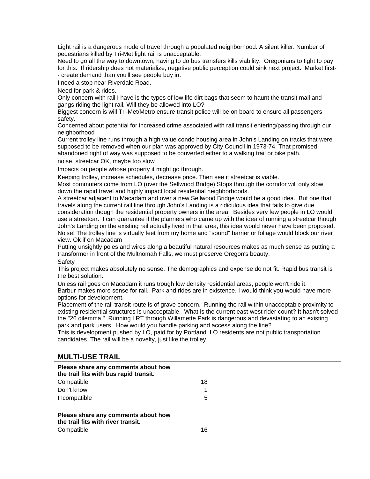Light rail is a dangerous mode of travel through a populated neighborhood. A silent killer. Number of pedestrians killed by Tri-Met light rail is unacceptable.

Need to go all the way to downtown; having to do bus transfers kills viability. Oregonians to tight to pay for this. If ridership does not materialize, negative public perception could sink next project. Market first-- create demand than you'll see people buy in.

I need a stop near Riverdale Road.

Need for park & rides.

Only concern with rail I have is the types of low life dirt bags that seem to haunt the transit mall and gangs riding the light rail. Will they be allowed into LO?

Biggest concern is will Tri-Met/Metro ensure transit police will be on board to ensure all passengers safety.

Concerned about potential for increased crime associated with rail transit entering/passing through our neighborhood

Current trolley line runs through a high value condo housing area in John's Landing on tracks that were supposed to be removed when our plan was approved by City Council in 1973-74. That promised abandoned right of way was supposed to be converted either to a walking trail or bike path.

noise, streetcar OK, maybe too slow

Impacts on people whose property it might go through.

Keeping trolley, increase schedules, decrease price. Then see if streetcar is viable.

Most commuters come from LO (over the Sellwood Bridge) Stops through the corridor will only slow down the rapid travel and highly impact local residential neighborhoods.

consideration though the residential property owners in the area. Besides very few people in LO would use a streetcar. I can guarantee if the planners who came up with the idea of running a streetcar though Noise! The trolley line is virtually feet from my home and "sound" barrier or foliage would block our river A streetcar adjacent to Macadam and over a new Sellwood Bridge would be a good idea. But one that travels along the current rail line through John's Landing is a ridiculous idea that fails to give due John's Landing on the existing rail actually lived in that area, this idea would never have been proposed. view. Ok if on Macadam

Putting unsightly poles and wires along a beautiful natural resources makes as much sense as putting a transformer in front of the Multnomah Falls, we must preserve Oregon's beauty.

**Safety** 

This project makes absolutely no sense. The demographics and expense do not fit. Rapid bus transit is the best solution.

Unless rail goes on Macadam it runs trough low density residential areas, people won't ride it.

Barbur makes more sense for rail. Park and rides are in existence. I would think you would have more options for development.

Placement of the rail transit route is of grave concern. Running the rail within unacceptable proximity to existing residential structures is unacceptable. What is the current east-west rider count? It hasn't solved the "26 dilemma." Running LRT through Willamette Park is dangerous and devastating to an existing park and park users. How would you handle parking and access along the line?

This is development pushed by LO, paid for by Portland. LO residents are not public transportation candidates. The rail will be a novelty, just like the trolley.

## **TRAIL MULTI-USE**

| Please share any comments about how<br>the trail fits with bus rapid transit. |    |  |  |
|-------------------------------------------------------------------------------|----|--|--|
| Compatible                                                                    | 18 |  |  |
| Don't know                                                                    |    |  |  |
| Incompatible                                                                  | 5  |  |  |
| Please share any comments about how<br>the trail fits with river transit.     |    |  |  |
| Compatible                                                                    | 16 |  |  |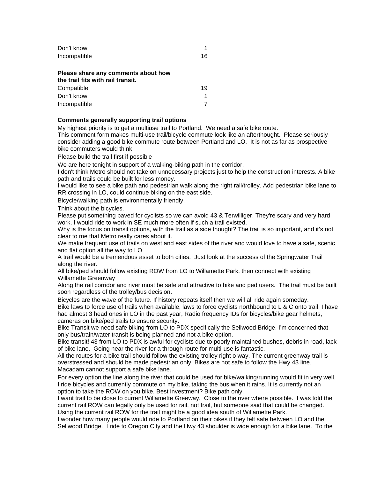| Don't know   |    |
|--------------|----|
| Incompatible | 16 |

#### **Please share any comments about how the trail fits with rail transit.**

| <u>the trail lits with rail trailsit.</u> |    |
|-------------------------------------------|----|
| Compatible                                | 19 |
| Don't know                                |    |
| Incompatible                              |    |

#### **Comments generally supporting trail options**

My highest priority is to get a multiuse trail to Portland. We need a safe bike route.

This comment form makes multi-use trail/bicycle commute look like an afterthought. Please seriously consider adding a good bike commute route between Portland and LO. It is not as far as prospective bike commuters would think.

Please build the trail first if possible

We are here tonight in support of a walking-biking path in the corridor.

I don't think Metro should not take on unnecessary projects just to help the construction interests. A bike path and trails could be built for less money.

I would like to see a bike path and pedestrian walk along the right rail/trolley. Add pedestrian bike lane to RR crossing in LO, could continue biking on the east side.

Bicycle/walking path is environmentally friendly.

Think about the bicycles.

Please put something paved for cyclists so we can avoid 43 & Terwilliger. They're scary and very hard work. I would ride to work in SE much more often if such a trail existed.

Why is the focus on transit options, with the trail as a side thought? The trail is so important, and it's not clear to me that Metro really cares about it.

We make frequent use of trails on west and east sides of the river and would love to have a safe, scenic and flat option all the way to LO

A trail would be a tremendous asset to both cities. Just look at the success of the Springwater Trail along the river.

Willamette Greenway All bike/ped should follow existing ROW from LO to Willamette Park, then connect with existing

Along the rail corridor and river must be safe and attractive to bike and ped users. The trail must be built soon regardless of the trolley/bus decision.

Bicycles are the wave of the future. If history repeats itself then we will all ride again someday. Bike laws to force use of trails when available, laws to force cyclists northbound to L & C onto trail, I have had almost 3 head ones in LO in the past year, Radio frequency IDs for bicycles/bike gear helmets, cameras on bike/ped trails to ensure security.

Bike Transit we need safe biking from LO to PDX specifically the Sellwood Bridge. I'm concerned that only bus/train/water transit is being planned and not a bike option.

Bike transit! 43 from LO to PDX is awful for cyclists due to poorly maintained bushes, debris in road, lack of bike lane. Going near the river for a through route for multi-use is fantastic.

All the routes for a bike trail should follow the existing trolley right o way. The current greenway trail is overstressed and should be made pedestrian only. Bikes are not safe to follow the Hwy 43 line. Macadam cannot support a safe bike lane.

For every option the line along the river that could be used for bike/walking/running would fit in very well. I ride bicycles and currently commute on my bike, taking the bus when it rains. It is currently not an option to take the ROW on you bike. Best investment? Bike path only.

I want trail to be close to current Willamette Greeway. Close to the river where possible. I was told the current rail ROW can legally only be used for rail, not trail, but someone said that could be changed. Using the current rail ROW for the trail might be a good idea south of Willamette Park.

I wonder how many people would ride to Portland on their bikes if they felt safe between LO and the Sellwood Bridge. I ride to Oregon City and the Hwy 43 shoulder is wide enough for a bike lane. To the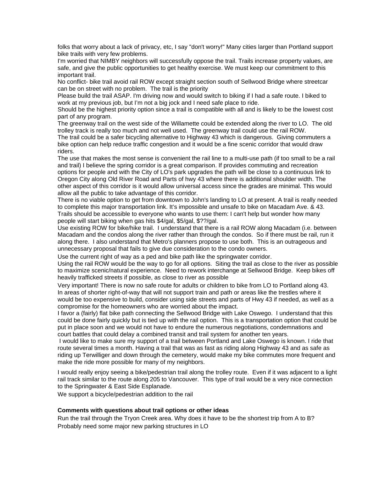folks that worry about a lack of privacy, etc, I say "don't worry!" Many cities larger than Portland support bike trails with very few problems.

I'm worried that NIMBY neighbors will successfully oppose the trail. Trails increase property values, are safe, and give the public opportunities to get healthy exercise. We must keep our commitment to this important trail.

No conflict- bike trail avoid rail ROW except straight section south of Sellwood Bridge where streetcar can be on street with no problem. The trail is the priority

Please build the trail ASAP. I'm driving now and would switch to biking if I had a safe route. I biked to work at my previous job, but I'm not a big jock and I need safe place to ride.

Should be the highest priority option since a trail is compatible with all and is likely to be the lowest cost part of any program.

The greenway trail on the west side of the Willamette could be extended along the river to LO. The old trolley track is really too much and not well used. The greenway trail could use the rail ROW.

The trail could be a safer bicycling alternative to Highway 43 which is dangerous. Giving commuters a bike option can help reduce traffic congestion and it would be a fine scenic corridor that would draw riders.

The use that makes the most sense is convenient the rail line to a multi-use path (if too small to be a rail and trail) I believe the spring corridor is a great comparison. If provides commuting and recreation Oregon City along Old River Road and Parts of hwy 43 where there is additional shoulder width. The options for people and with the City of LO's park upgrades the path will be close to a continuous link to other aspect of this corridor is it would allow universal access since the grades are minimal. This would allow all the public to take advantage of this corridor.

There is no viable option to get from downtown to John's landing to LO at present. A trail is really needed to complete this major transportation link. It's impossible and unsafe to bike on Macadam Ave. & 43. Trails should be accessible to everyone who wants to use them: I can't help but wonder how many people will start biking when gas hits \$4/gal, \$5/gal, \$??/gal.

Macadam and the condos along the river rather than through the condos. So if there must be rail, run it unnecessary proposal that fails to give due consideration to the condo owners. Use existing ROW for bike/hike trail. I understand that there is a rail ROW along Macadam (i.e. between along there. I also understand that Metro's planners propose to use both. This is an outrageous and

Use the current right of way as a ped and bike path like the springwater corridor.

Using the rail ROW would be the way to go for all options. Siting the trail as close to the river as possible to maximize scenic/natural experience. Need to rework interchange at Sellwood Bridge. Keep bikes off heavily trafficked streets if possible, as close to river as possible

In areas of shorter right-of-way that will not support train and path or areas like the trestles where it would be too expensive to build, consider using side streets and parts of Hwy 43 if needed, as well as a Very important! There is now no safe route for adults or children to bike from LO to Portland along 43. compromise for the homeowners who are worried about the impact.

I favor a (fairly) flat bike path connecting the Sellwood Bridge with Lake Oswego. I understand that this could be done fairly quickly but is tied up with the rail option. This is a transportation option that could be court battles that could delay a combined transit and trail system for another ten years. put in place soon and we would not have to endure the numerous negotiations, condemnations and

route several times a month. Having a trail that was as fast as riding along Highway 43 and as safe as riding up Terwilliger and down through the cemetery, would make my bike commutes more frequent and I would like to make sure my support of a trail between Portland and Lake Oswego is known. I ride that make the ride more possible for many of my neighbors.

I would really enjoy seeing a bike/pedestrian trail along the trolley route. Even if it was adjacent to a light rail track similar to the route along 205 to Vancouver. This type of trail would be a very nice connection to the Springwater & East Side Esplanade.

We support a bicycle/pedestrian addition to the rail

#### **Comments with questions about trail options or other ideas**

Run the trail through the Tryon Creek area. Why does it have to be the shortest trip from A to B? Probably need some major new parking structures in LO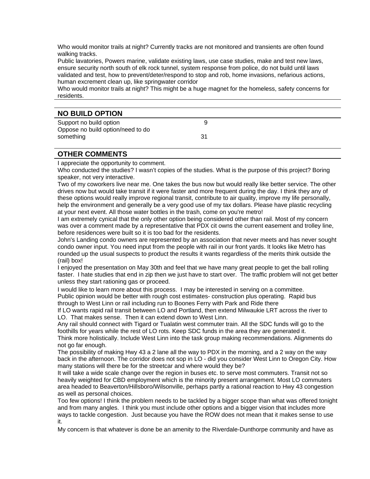Who would monitor trails at night? Currently tracks are not monitored and transients are often found walking tracks.

Public lavatories, Powers marine, validate existing laws, use case studies, make and test new laws, ensure security north south of elk rock tunnel, system response from police, do not build until laws validated and test, how to prevent/deter/respond to stop and rob, home invasions, nefarious actions, human excrement clean up, like springwater corridor

Who would monitor trails at night? This might be a huge magnet for the homeless, safety concerns for residents.

| <b>NO BUILD OPTION</b>                                       |    |  |
|--------------------------------------------------------------|----|--|
| Support no build option<br>Oppose no build option/need to do |    |  |
| something                                                    | 31 |  |

### **OTHER COMMENTS**

I appreciate the opportunity to comment.

Who conducted the studies? I wasn't copies of the studies. What is the purpose of this project? Boring speaker, not very interactive.

Two of my coworkers live near me. One takes the bus now but would really like better service. The other drives now but would take transit if it were faster and more frequent during the day. I think they any of these options would really improve regional transit, contribute to air quality, improve my life personally, help the environment and generally be a very good use of my tax dollars. Please have plastic recycling at your next event. All those water bottles in the trash, come on you're metro!

I am extremely cynical that the only other option being considered other than rail. Most of my concern was over a comment made by a representative that PDX cit owns the current easement and trolley line, before residences were built so it is too bad for the residents.

John's Landing condo owners are represented by an association that never meets and has never sought condo owner input. You need input from the people with rail in our front yards. It looks like Metro has rounded up the usual suspects to product the results it wants regardless of the merits think outside the (rail) box!

I enjoyed the presentation on May 30th and feel that we have many great people to get the ball rolling faster. I hate studies that end in zip then we just have to start over. The traffic problem will not get better unless they start rationing gas or proceed.

I would like to learn more about this process. I may be interested in serving on a committee. Public opinion would be better with rough cost estimates- construction plus operating. Rapid bus through to West Linn or rail including run to Boones Ferry with Park and Ride there

If LO wants rapid rail transit between LO and Portland, then extend Milwaukie LRT across the river to LO. That makes sense. Then it can extend down to West Linn.

Any rail should connect with Tigard or Tualatin west commuter train. All the SDC funds will go to the foothills for years while the rest of LO rots. Keep SDC funds in the area they are generated it. Think more holistically. Include West Linn into the task group making recommendations. Alignments do not go far enough.

many stations will there be for the streetcar and where would they be? The possibility of making Hwy 43 a 2 lane all the way to PDX in the morning, and a 2 way on the way back in the afternoon. The corridor does not sop in LO - did you consider West Linn to Oregon City. How

area headed to Beaverton/Hillsboro/Wilsonville, perhaps partly a rational reaction to Hwy 43 congestion It will take a wide scale change over the region in buses etc. to serve most commuters. Transit not so heavily weighted for CBD employment which is the minority present arrangement. Most LO commuters as well as personal choices.

Too few options! I think the problem needs to be tackled by a bigger scope than what was offered tonight and from many angles. I think you must include other options and a bigger vision that includes more ways to tackle congestion. Just because you have the ROW does not mean that it makes sense to use it.

My concern is that whatever is done be an amenity to the Riverdale-Dunthorpe community and have as